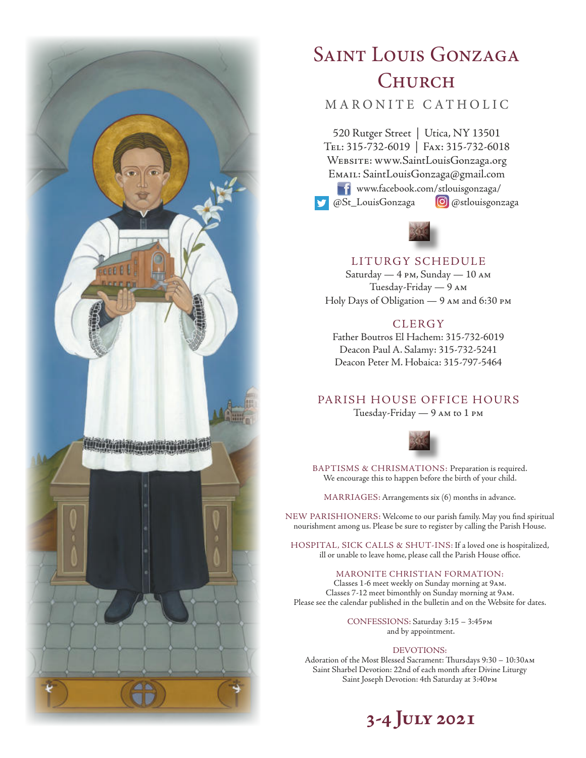

# SAINT LOUIS GONZAGA **CHURCH**

# MARONITE CATHOLIC

520 Rutger Street | Utica, NY 13501 Tel: 315-732-6019 | Fax: 315-732-6018 Website: www.SaintLouisGonzaga.org Email: SaintLouisGonzaga@gmail.com www.facebook.com/stlouisgonzaga/ @St\_LouisGonzaga **@**@stlouisgonzaga



## LITURGY SCHEDULE

Saturday — 4 pm, Sunday — 10 am Tuesday-Friday — 9 am Holy Days of Obligation — 9 am and 6:30 pm

# **CLERGY**

Father Boutros El Hachem: 315-732-6019 Deacon Paul A. Salamy: 315-732-5241 Deacon Peter M. Hobaica: 315-797-5464

# PARISH HOUSE OFFICE HOURS

Tuesday-Friday — 9 am to 1 pm



BAPTISMS & CHRISMATIONS: Preparation is required. We encourage this to happen before the birth of your child.

MARRIAGES: Arrangements six (6) months in advance.

NEW PARISHIONERS: Welcome to our parish family. May you find spiritual nourishment among us. Please be sure to register by calling the Parish House.

HOSPITAL, SICK CALLS & SHUT-INS: If a loved one is hospitalized, ill or unable to leave home, please call the Parish House office.

#### MARONITE CHRISTIAN FORMATION:

Classes 1-6 meet weekly on Sunday morning at 9am. Classes 7-12 meet bimonthly on Sunday morning at 9am. Please see the calendar published in the bulletin and on the Website for dates.

> CONFESSIONS: Saturday 3:15 – 3:45pm and by appointment.

#### DEVOTIONS:

Adoration of the Most Blessed Sacrament: Thursdays 9:30 – 10:30am Saint Sharbel Devotion: 22nd of each month after Divine Liturgy Saint Joseph Devotion: 4th Saturday at 3:40pm

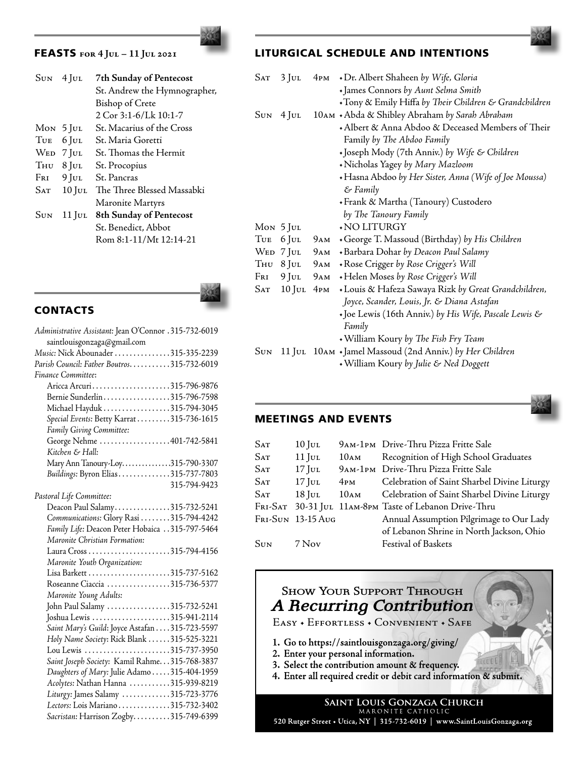# FEASTS **for 4 Jul – 11 Jul 2021**

|     | $\text{SUN}$ 4 JUL | 7th Sunday of Pentecost        |  |  |
|-----|--------------------|--------------------------------|--|--|
|     |                    | St. Andrew the Hymnographer,   |  |  |
|     |                    | <b>Bishop of Crete</b>         |  |  |
|     |                    | 2 Cor 3:1-6/Lk 10:1-7          |  |  |
|     | $Mon$ 5 Jul        | St. Macarius of the Cross      |  |  |
| Tue | $6$ Jul            | St. Maria Goretti              |  |  |
|     | WED 7 JUL          | St. Thomas the Hermit          |  |  |
|     | $T_{HU}$ 8 Jul     | St. Procopius                  |  |  |
|     | $F_{RI}$ 9 Jul     | St. Pancras                    |  |  |
| Sat | $10$ Jul           | The Three Blessed Massabki     |  |  |
|     |                    | Maronite Martyrs               |  |  |
| Sun | 11 Jul             | <b>8th Sunday of Pentecost</b> |  |  |
|     |                    | St. Benedict, Abbot            |  |  |
|     |                    | Rom 8:1-11/Mt 12:14-21         |  |  |
|     |                    |                                |  |  |



# LITURGICAL SCHEDULE AND INTENTIONS

| SAT        | $3$ JUL     |                 | 4PM + Dr. Albert Shaheen by Wife, Gloria                 |
|------------|-------------|-----------------|----------------------------------------------------------|
|            |             |                 | + James Connors by Aunt Selma Smith                      |
|            |             |                 | •Tony & Emily Hiffa by Their Children & Grandchildren    |
| Sun        | $4$ JUL     |                 | 10AM + Abda & Shibley Abraham by Sarah Abraham           |
|            |             |                 | + Albert & Anna Abdoo & Deceased Members of Their        |
|            |             |                 | Family by The Abdoo Family                               |
|            |             |                 | · Joseph Mody (7th Anniv.) by Wife & Children            |
|            |             |                 | • Nicholas Yagey by Mary Mazloom                         |
|            |             |                 | • Hasna Abdoo by Her Sister, Anna (Wife of Joe Moussa)   |
|            |             |                 | & Family                                                 |
|            |             |                 | + Frank & Martha (Tanoury) Custodero                     |
|            |             |                 | by The Tanoury Family                                    |
|            | $Mon$ 5 Jul |                 | <b>NO LITURGY</b>                                        |
| Tue        | $6$ JUL     | 9ам             | George T. Massoud (Birthday) by His Children             |
| <b>WED</b> | 7 Jul       | 9ам             | +Barbara Dohar by Deacon Paul Salamy                     |
| Тни        | $8$ JUL     | 9ам             | + Rose Crigger by Rose Crigger's Will                    |
| Fri        | $9$ Jul     | 9ам             | +Helen Moses by Rose Crigger's Will                      |
| SAT        | $10$ Jul    | 4 <sub>PM</sub> | • Louis & Hafeza Sawaya Rizk by Great Grandchildren,     |
|            |             |                 | Joyce, Scander, Louis, Jr. & Diana Astafan               |
|            |             |                 | +Joe Lewis (16th Anniv.) by His Wife, Pascale Lewis &    |
|            |             |                 | Family                                                   |
|            |             |                 | William Koury by The Fish Fry Team                       |
| SUN        |             |                 | 11 JUL 10AM + Jamel Massoud (2nd Anniv.) by Her Children |
|            |             |                 | William Koury by Julie & Ned Doggett                     |
|            |             |                 |                                                          |

# **CONTACTS**

| Administrative Assistant: Jean O'Connor .315-732-6019 |
|-------------------------------------------------------|
| saintlouisgonzaga@gmail.com                           |
| Music: Nick Abounader 315-335-2239                    |
| Parish Council: Father Boutros. 315-732-6019          |
| Finance Committee:                                    |
| Aricca Arcuri315-796-9876                             |
| Bernie Sunderlin315-796-7598                          |
| Michael Hayduk 315-794-3045                           |
| Special Events: Betty Karrat315-736-1615              |
| Family Giving Committee:                              |
| George Nehme 401-742-5841                             |
| Kitchen & Hall:                                       |
| Mary Ann Tanoury-Loy315-790-3307                      |
| Buildings: Byron Elias315-737-7803                    |
| 315-794-9423                                          |
| Pastoral Life Committee:                              |
| Deacon Paul Salamy315-732-5241                        |
| Communications: Glory Rasi 315-794-4242               |
| Family Life: Deacon Peter Hobaica 315-797-5464        |
| Maronite Christian Formation:                         |
|                                                       |
| Maronite Youth Organization:                          |
| Lisa Barkett 315-737-5162                             |
| Roseanne Ciaccia 315-736-5377                         |
| Maronite Young Adults:                                |
| John Paul Salamy 315-732-5241                         |
| Joshua Lewis 315-941-2114                             |
| Saint Mary's Guild: Joyce Astafan 315-723-5597        |
| Holy Name Society: Rick Blank 315-525-3221            |
| Lou Lewis 315-737-3950                                |
| Saint Joseph Society: Kamil Rahme. 315-768-3837       |
| Daughters of Mary: Julie Adamo  315-404-1959          |
| Acolytes: Nathan Hanna 315-939-8219                   |
| Liturgy: James Salamy 315-723-3776                    |
| Lectors: Lois Mariano 315-732-3402                    |
| Sacristan: Harrison Zogby315-749-6399                 |

### MEETINGS AND EVENTS

| $\rm{Sat}$ | $10$ Jul          |                  | 9AM-1PM Drive-Thru Pizza Fritte Sale                   |
|------------|-------------------|------------------|--------------------------------------------------------|
| Sat        | $11$ JUL          | 10 <sub>AM</sub> | Recognition of High School Graduates                   |
| Sat        | $17$ Jul          |                  | 9AM-1PM Drive-Thru Pizza Fritte Sale                   |
| Sat        | $17$ Jul          | 4 <sub>PM</sub>  | Celebration of Saint Sharbel Divine Liturgy            |
| Sat        | $18$ Jul          | 10ам             | Celebration of Saint Sharbel Divine Liturgy            |
|            |                   |                  | Fri-SAT 30-31 JUL 11AM-8PM Taste of Lebanon Drive-Thru |
|            | Fri-Sun 13-15 Aug |                  | Annual Assumption Pilgrimage to Our Lady               |
|            |                   |                  | of Lebanon Shrine in North Jackson, Ohio               |
| Sun        | 7 Nov             |                  | <b>Festival of Baskets</b>                             |
|            |                   |                  |                                                        |



MARONITE CATHOLIC 520 Rutger Street • Utica, NY | 315-732-6019 | www.SaintLouisGonzaga.org

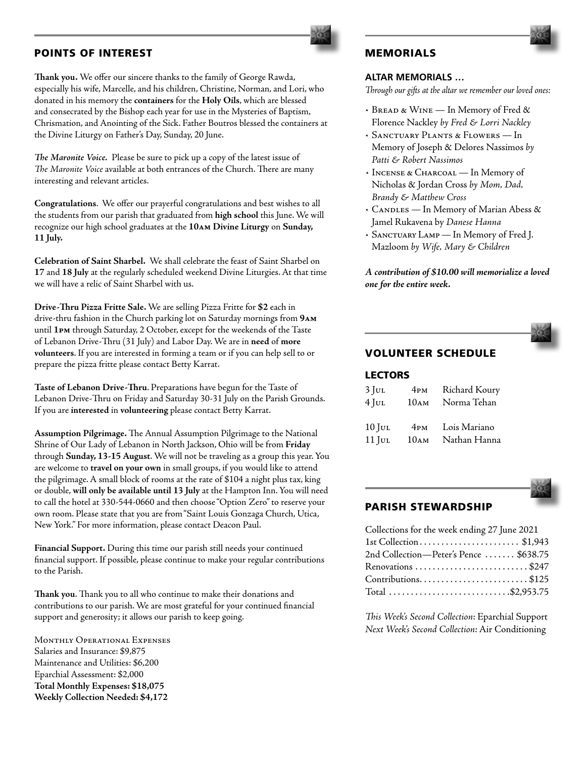## POINTS OF INTEREST

**Thank you.** We offer our sincere thanks to the family of George Rawda, especially his wife, Marcelle, and his children, Christine, Norman, and Lori, who donated in his memory the **containers** for the **Holy Oils**, which are blessed and consecrated by the Bishop each year for use in the Mysteries of Baptism, Chrismation, and Anointing of the Sick. Father Boutros blessed the containers at the Divine Liturgy on Father's Day, Sunday, 20 June.

*The Maronite Voice.* Please be sure to pick up a copy of the latest issue of *The Maronite Voice* available at both entrances of the Church. There are many interesting and relevant articles.

**Congratulations**. We offer our prayerful congratulations and best wishes to all the students from our parish that graduated from **high school** this June. We will recognize our high school graduates at the **10am Divine Liturgy** on **Sunday, 11 July.**

**Celebration of Saint Sharbel.** We shall celebrate the feast of Saint Sharbel on **17** and **18 July** at the regularly scheduled weekend Divine Liturgies. At that time we will have a relic of Saint Sharbel with us.

**Drive-Thru Pizza Fritte Sale.** We are selling Pizza Fritte for **\$2** each in drive-thru fashion in the Church parking lot on Saturday mornings from **9am** until **1pm** through Saturday, 2 October, except for the weekends of the Taste of Lebanon Drive-Thru (31 July) and Labor Day. We are in **need** of **more volunteers**. If you are interested in forming a team or if you can help sell to or prepare the pizza fritte please contact Betty Karrat.

**Taste of Lebanon Drive-Thru**. Preparations have begun for the Taste of Lebanon Drive-Thru on Friday and Saturday 30-31 July on the Parish Grounds. If you are **interested** in **volunteering** please contact Betty Karrat.

**Assumption Pilgrimage.** The Annual Assumption Pilgrimage to the National Shrine of Our Lady of Lebanon in North Jackson, Ohio will be from **Friday** through **Sunday, 13-15 August**. We will not be traveling as a group this year. You are welcome to **travel on your own** in small groups, if you would like to attend the pilgrimage. A small block of rooms at the rate of \$104 a night plus tax, king or double, **will only be available until 13 July** at the Hampton Inn. You will need to call the hotel at 330-544-0660 and then choose "Option Zero" to reserve your own room. Please state that you are from "Saint Louis Gonzaga Church, Utica, New York." For more information, please contact Deacon Paul.

**Financial Support.** During this time our parish still needs your continued financial support. If possible, please continue to make your regular contributions to the Parish.

**Thank you**. Thank you to all who continue to make their donations and contributions to our parish. We are most grateful for your continued financial support and generosity; it allows our parish to keep going.

MONTHLY OPERATIONAL EXPENSES Salaries and Insurance: \$9,875 Maintenance and Utilities: \$6,200 Eparchial Assessment: \$2,000 **Total Monthly Expenses: \$18,075 Weekly Collection Needed: \$4,172**

# MEMORIALS

#### **ALTAR MEMORIALS …**

*Through our gifts at the altar we remember our loved ones:*

- *•* Bread & Wine In Memory of Fred & Florence Nackley *by Fred & Lorri Nackley*
- *•* Sanctuary Plants & Flowers In Memory of Joseph & Delores Nassimos *by Patti & Robert Nassimos*
- *•* Incense & Charcoal In Memory of Nicholas & Jordan Cross *by Mom, Dad, Brandy & Matthew Cross*
- *•* Candles In Memory of Marian Abess & Jamel Rukavena by *Danese Hanna*
- *•* Sanctuary Lamp In Memory of Fred J. Mazloom *by Wife, Mary & Children*

*A contribution of \$10.00 will memorialize a loved one for the entire week.*

# VOLUNTEER SCHEDULE

### LECTORS

| $3$ Jul  | 4 <sub>PM</sub> | Richard Koury |
|----------|-----------------|---------------|
| $4$ JUL  | 10AM            | Norma Tehan   |
|          |                 |               |
| $10$ JUL | 4 <sub>PM</sub> | Lois Mariano  |
| $11$ Jul | 10AM            | Nathan Hanna  |



### PARISH STEWARDSHIP

| Collections for the week ending 27 June 2021 |  |
|----------------------------------------------|--|
| 1st Collection \$1,943                       |  |
| 2nd Collection-Peter's Pence  \$638.75       |  |
| Renovations \$247                            |  |
| Contributions\$125                           |  |
| Total \$2,953.75                             |  |
|                                              |  |

*This Week's Second Collection*: Eparchial Support *Next Week's Second Collection:* Air Conditioning